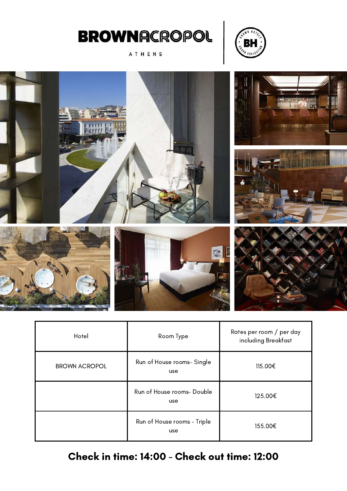

ATHENS





| Hotel                | Room Type                          | Rates per room / per day<br>including Breakfast |
|----------------------|------------------------------------|-------------------------------------------------|
| <b>BROWN ACROPOL</b> | Run of House rooms- Single<br>use  | 115.00€                                         |
|                      | Run of House rooms- Double<br>use  | 125.00€                                         |
|                      | Run of House rooms - Triple<br>use | 155.00€                                         |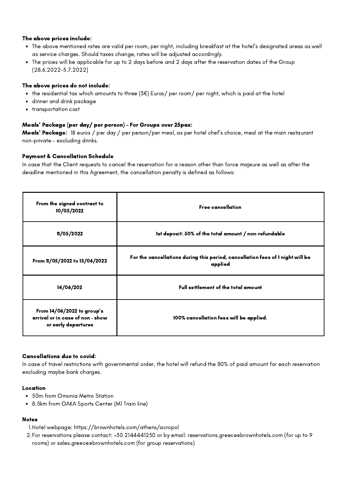- The above mentioned rates are valid per room, per night, including breakfast at the hotel's designated areas as well as service charges. Should taxes change, rates will be adjusted accordingly.
- The prices will be applicable for up to 2 days before and 2 days after the reservation dates of the Group (28.6.2022-5.7.2022)

## The above prices do not include:

- the residential tax which amounts to three (3€) Euros/ per room/ per night, which is paid at the hotel
- $\bullet$ dinner and drink package
- $\bullet$ transportation cost

## Meals' Package (per day/ per person) – For Groups over 25pax:

Meals' Package: 18 euros / per day / per person/per meal, as per hotel chef's choice, meal at the main restaurant non-private – excluding drinks.

## Payment & Cancellation Schedule

In case that the Client requests to cancel the reservation for a reason other than force majeure as well as after the deadline mentioned in this Agreement, the cancellation penalty is defined as follows:

| From the signed contract to<br>10/05/2022                                             | <b>Free cancellation</b>                                                                  |
|---------------------------------------------------------------------------------------|-------------------------------------------------------------------------------------------|
| 11/05/2022                                                                            | 1st deposit: 50% of the total amount / non-refundable                                     |
| From 11/05/2022 to 13/06/2022                                                         | For the cancellations during this period, cancellation fees of 1 night will be<br>applied |
| 14/06/202                                                                             | Full settlement of the total amount                                                       |
| From 14/06/2022 to group's<br>arrival or in case of non - show<br>or early departures | 100% cancellation fees will be applied.                                                   |

#### Cancellations due to covid:

In case of travel restrictions with governmental order, the hotel will refund the 80% of paid amount for each reservation excluding maybe bank charges.

#### Location

- 50m from Omonia Metro Station
- 8.5km from OAKA Sports Center (M1 Train line)

- Hotel webpage: <https://brownhotels.com/athens/acropol> 1.
- For reservations please contact: +30 2144441250 or by email: [reservations.greece@brownhotels.com](mailto:reservations.greece@brownhotels.com) (for up to 9 2.rooms) or [sales.greece@brownhotels.com](mailto:sales.greece@brownhotels.com) (for group reservations)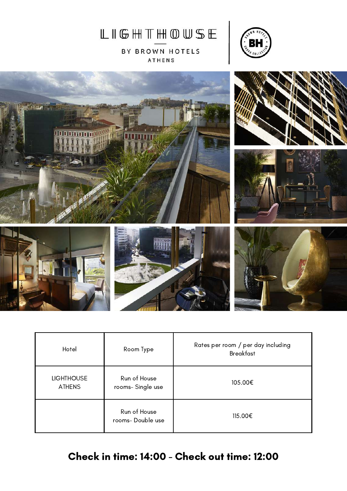

BY BROWN HOTELS ATHENS





| Hotel                              | Room Type                        | Rates per room / per day including<br><b>Breakfast</b> |
|------------------------------------|----------------------------------|--------------------------------------------------------|
| <b>LIGHTHOUSE</b><br><b>ATHENS</b> | Run of House<br>rooms-Single use | 105.00€                                                |
|                                    | Run of House<br>rooms-Double use | 115.00€                                                |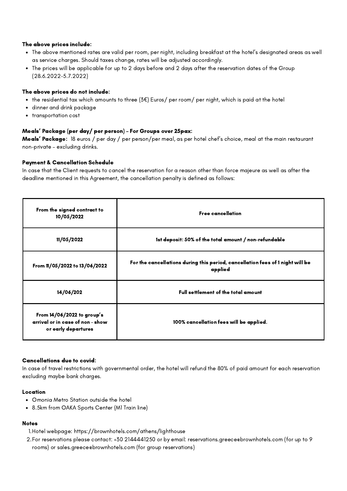- The above mentioned rates are valid per room, per night, including breakfast at the hotel's designated areas as well as service charges. Should taxes change, rates will be adjusted accordingly.
- The prices will be applicable for up to 2 days before and 2 days after the reservation dates of the Group (28.6.2022-5.7.2022)

## The above prices do not include:

- the residential tax which amounts to three (3€) Euros/ per room/ per night, which is paid at the hotel
- $\bullet$ dinner and drink package
- transportation cost  $\bullet$

## Meals' Package (per day/ per person) – For Groups over 25pax:

Meals' Package: 18 euros / per day / per person/per meal, as per hotel chef's choice, meal at the main restaurant non-private – excluding drinks.

## Payment & Cancellation Schedule

In case that the Client requests to cancel the reservation for a reason other than force majeure as well as after the deadline mentioned in this Agreement, the cancellation penalty is defined as follows:

| From the signed contract to<br>10/05/2022                                             | <b>Free cancellation</b>                                                                  |
|---------------------------------------------------------------------------------------|-------------------------------------------------------------------------------------------|
| 11/05/2022                                                                            | 1st deposit: 50% of the total amount / non-refundable                                     |
| From 11/05/2022 to 13/06/2022                                                         | For the cancellations during this period, cancellation fees of 1 night will be<br>applied |
| 14/06/202                                                                             | Full settlement of the total amount                                                       |
| From 14/06/2022 to group's<br>arrival or in case of non - show<br>or early departures | 100% cancellation fees will be applied.                                                   |

#### Cancellations due to covid:

In case of travel restrictions with governmental order, the hotel will refund the 80% of paid amount for each reservation excluding maybe bank charges.

#### Location

- Omonia Metro Station outside the hotel
- 8.5km from OAKA Sports Center (M1 Train line)

- Hotel [webpage:](mailto:info@hermesroyaltransfers.com) <https://brownhotels.com/athens/lighthouse> 1.
- For reservations please contact: +30 [2144441250](mailto:info@hermesroyaltransfers.com) or by email: [reservations.greece@brownhotels.com](mailto:info@hermesroyaltransfers.com) (for up to 9 2.rooms) or [sales.greece@brownhotels.com](mailto:sales.greece@brownhotels.com) (for group [reservations\)](mailto:info@hermesroyaltransfers.com)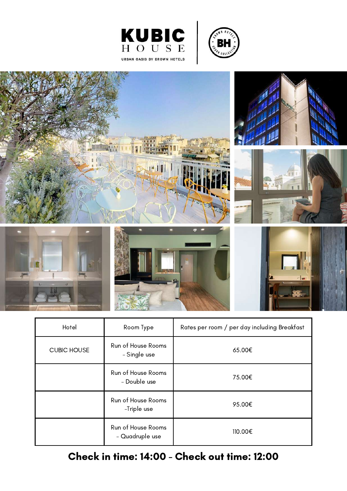



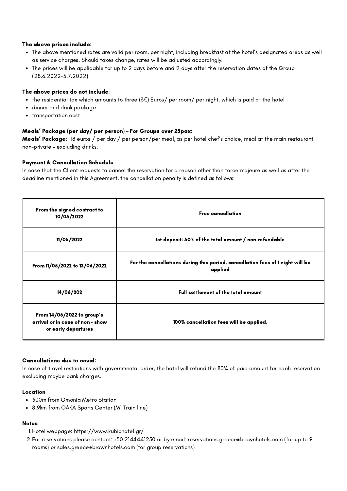- The above mentioned rates are valid per room, per night, including breakfast at the hotel's designated areas as well as service charges. Should taxes change, rates will be adjusted accordingly.
- The prices will be applicable for up to 2 days before and 2 days after the reservation dates of the Group (28.6.2022-5.7.2022)

## The above prices do not include:

- the residential tax which amounts to three (3€) Euros/ per room/ per night, which is paid at the hotel
- $\bullet$ dinner and drink package
- transportation cost  $\bullet$

## Meals' Package (per day/ per person) – For Groups over 25pax:

Meals' Package: 18 euros / per day / per person/per meal, as per hotel chef's choice, meal at the main restaurant non-private – excluding drinks.

## Payment & Cancellation Schedule

In case that the Client requests to cancel the reservation for a reason other than force majeure as well as after the deadline mentioned in this Agreement, the cancellation penalty is defined as follows:

| From the signed contract to<br>10/05/2022                                             | <b>Free cancellation</b>                                                                  |
|---------------------------------------------------------------------------------------|-------------------------------------------------------------------------------------------|
| 11/05/2022                                                                            | 1st deposit: 50% of the total amount / non-refundable                                     |
| From 11/05/2022 to 13/06/2022                                                         | For the cancellations during this period, cancellation fees of 1 night will be<br>applied |
| 14/06/202                                                                             | Full settlement of the total amount                                                       |
| From 14/06/2022 to group's<br>arrival or in case of non - show<br>or early departures | 100% cancellation fees will be applied.                                                   |

#### Cancellations due to covid:

In case of travel restrictions with governmental order, the hotel will refund the 80% of paid amount for each reservation excluding maybe bank charges.

#### Location

- 300m from Omonia Metro Station
- 8.9km from OAKA Sports Center (M1 Train line)

- Hotel [webpage:](mailto:info@hermesroyaltransfers.com) <https://www.kubichotel.gr/> 1.
- For reservations please contact: +30 [2144441250](mailto:info@hermesroyaltransfers.com) or by email: [reservations.greece@brownhotels.com](mailto:info@hermesroyaltransfers.com) (for up to 9 2.rooms) or [sales.greece@brownhotels.com](mailto:sales.greece@brownhotels.com) (for group [reservations\)](mailto:info@hermesroyaltransfers.com)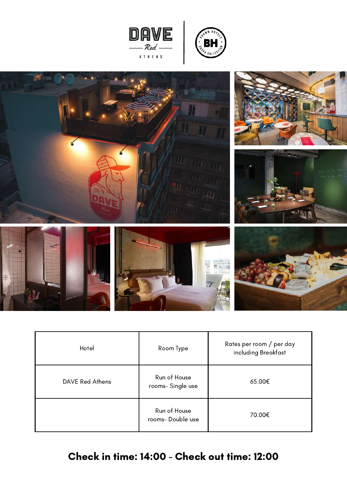





| Hotel           | Room Type                        | Rates per room / per day<br>including Breakfast |
|-----------------|----------------------------------|-------------------------------------------------|
| DAVE Red Athens | Run of House<br>rooms-Single use | 65.00€                                          |
|                 | Run of House<br>rooms-Double use | 70.00€                                          |